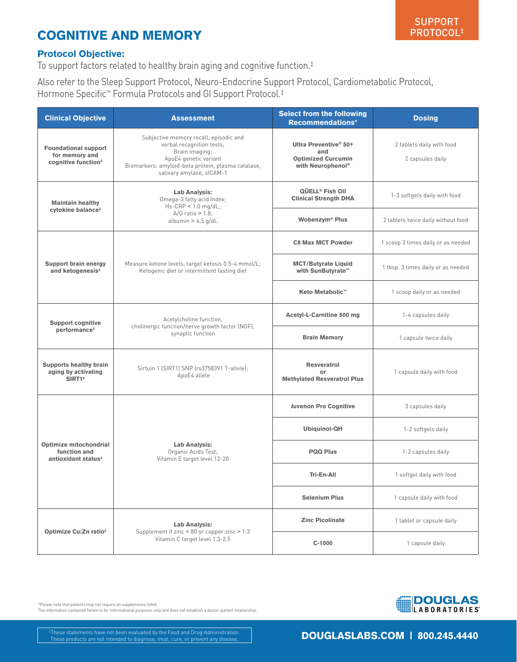## COGNITIVE AND MEMORY

## Protocol Objective:

To support factors related to healthy brain aging and cognitive function.‡

Also refer to the Sleep Support Protocol, Neuro-Endocrine Support Protocol, Cardiometabolic Protocol, Hormone Specific™ Formula Protocols and GI Support Protocol.‡

| <b>Clinical Objective</b>                                                        | <b>Assessment</b>                                                                                                                                                                                 | <b>Select from the following</b><br>Recommendations*                                       | <b>Dosing</b>                                 |
|----------------------------------------------------------------------------------|---------------------------------------------------------------------------------------------------------------------------------------------------------------------------------------------------|--------------------------------------------------------------------------------------------|-----------------------------------------------|
| <b>Foundational support</b><br>for memory and<br>cognitive function <sup>#</sup> | Subjective memory recall, episodic and<br>verbal recognition tests;<br>Brain imaging;<br>ApoE4 genetic variant<br>Biomarkers: amyloid-beta protein, plasma catalase,<br>salivary amylase, sICAM-1 | Ultra Preventive® 50+<br>and<br><b>Optimized Curcumin</b><br>with Neurophenol <sup>®</sup> | 2 tablets daily with food<br>2 capsules daily |
| <b>Maintain healthy</b><br>cytokine balance <sup>#</sup>                         | Lab Analysis:<br>Omega-3 fatty acid Index;<br>$Hs-CRP < 1.0$ mg/dL;<br>$A/G$ ratio > 1.8,<br>albumin $>$ 4.5 g/dL                                                                                 | QÜELL <sup>®</sup> Fish Oil<br><b>Clinical Strength DHA</b>                                | 1-3 softgels daily with food                  |
|                                                                                  |                                                                                                                                                                                                   | Wobenzym® Plus                                                                             | 2 tablets twice daily without food            |
| <b>Support brain energy</b><br>and ketogenesis <sup>#</sup>                      | Measure ketone levels, target ketosis 0.5-4 mmol/L;<br>Ketogenic diet or intermittent fasting diet                                                                                                | <b>C8 Max MCT Powder</b>                                                                   | 1 scoop 3 times daily or as needed            |
|                                                                                  |                                                                                                                                                                                                   | <b>MCT/Butyrate Liquid</b><br>with SunButyrate™                                            | 1 tbsp. 3 times daily or as needed            |
|                                                                                  |                                                                                                                                                                                                   | <b>Keto Metabolic™</b>                                                                     | 1 scoop daily or as needed                    |
| <b>Support cognitive</b><br>performance <sup>#</sup>                             | Acetylcholine function.<br>cholinergic function/nerve growth factor (NGF),<br>synaptic function                                                                                                   | <b>Acetyl-L-Carnitine 500 mg</b>                                                           | 1-4 capsules daily                            |
|                                                                                  |                                                                                                                                                                                                   | <b>Brain Memory</b>                                                                        | 1 capsule twice daily                         |
| <b>Supports healthy brain</b><br>aging by activating<br>SIRT1 <sup>#</sup>       | Sirtuin 1 (SIRT1) SNP (rs3758391 T-allele);<br>ApoE4 allele                                                                                                                                       | <b>Resveratrol</b><br>or<br><b>Methylated Resveratrol Plus</b>                             | 1 capsule daily with food                     |
| Optimize mitochondrial<br>function and<br>antioxidant status <sup>#</sup>        | Lab Analysis:<br>Organic Acids Test;<br>Vitamin E target level 12-20                                                                                                                              | <b>Juvenon Pro Cognitive</b>                                                               | 3 capsules daily                              |
|                                                                                  |                                                                                                                                                                                                   | Ubiquinol-QH                                                                               | 1-2 softgels daily                            |
|                                                                                  |                                                                                                                                                                                                   | <b>PQQ Plus</b>                                                                            | 1-2 capsules daily                            |
|                                                                                  |                                                                                                                                                                                                   | Tri-En-All                                                                                 | 1 softgel daily with food                     |
|                                                                                  |                                                                                                                                                                                                   | <b>Selenium Plus</b>                                                                       | 1 capsule daily with food                     |
| Optimize Cu:Zn ratio <sup>#</sup>                                                | Lab Analysis:<br>Supplement if zinc < 80 or copper: zinc > 1:3<br>Vitamin C target level 1.3-2.5                                                                                                  | <b>Zinc Picolinate</b>                                                                     | 1 tablet or capsule daily                     |
|                                                                                  |                                                                                                                                                                                                   | $C-1000$                                                                                   | 1 capsule daily                               |

\*Please note that patients may not require all supplements listed.

The information contained herein is for informational purposes only and does not establish a doctor-patient relationship.